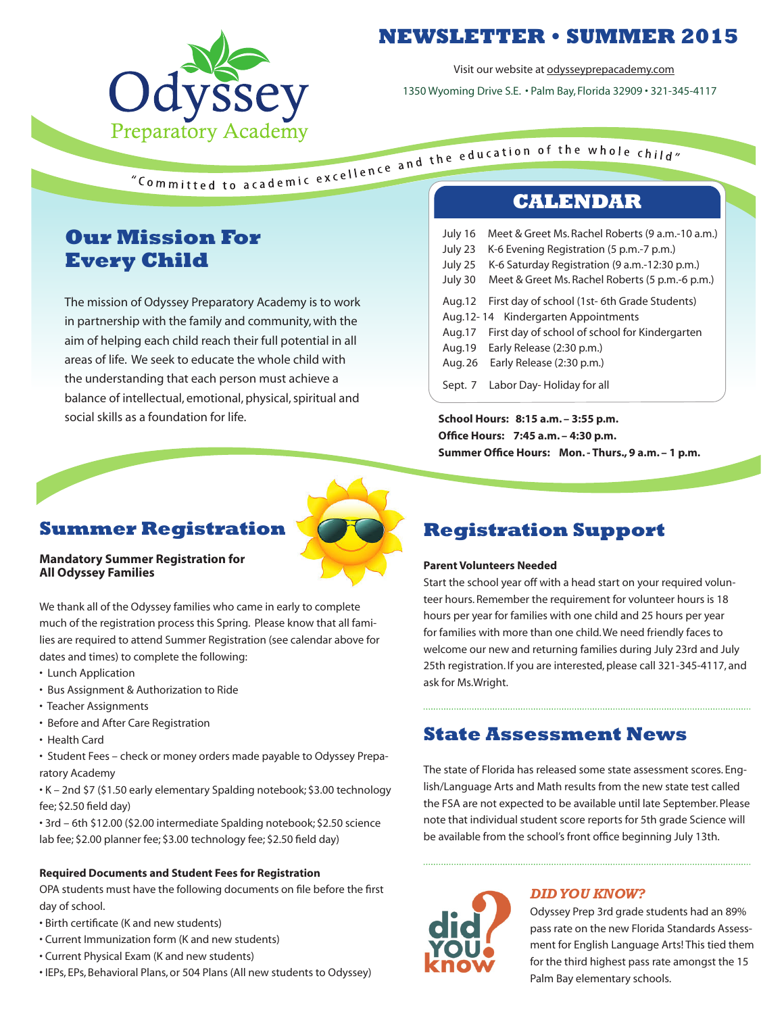

### **NEWSLETTER • SUMMER 2015**

Visit our website at odysseyprepacademy.com

1350 Wyoming Drive S.E. • Palm Bay, Florida 32909 • 321-345-4117

### **Our Mission For Every Child**

The mission of Odyssey Preparatory Academy is to work in partnership with the family and community, with the aim of helping each child reach their full potential in all areas of life. We seek to educate the whole child with the understanding that each person must achieve a balance of intellectual, emotional, physical, spiritual and social skills as a foundation for life.

| July 16 | Meet & Greet Ms. Rachel Roberts (9 a.m.-10 a.m.) |
|---------|--------------------------------------------------|
| July 23 | K-6 Evening Registration (5 p.m.-7 p.m.)         |
| July 25 | K-6 Saturday Registration (9 a.m.-12:30 p.m.)    |
| July 30 | Meet & Greet Ms. Rachel Roberts (5 p.m.-6 p.m.)  |
| Aug.12  | First day of school (1st- 6th Grade Students)    |
|         | Aug. 12-14 Kindergarten Appointments             |
| Aug.17  | First day of school of school for Kindergarten   |
| Aug.19  | Early Release (2:30 p.m.)                        |
| Aug. 26 | Early Release (2:30 p.m.)                        |
| Sept. 7 | Labor Day-Holiday for all                        |

**School Hours: 8:15 a.m. – 3:55 p.m. Office Hours: 7:45 a.m. – 4:30 p.m. Summer Office Hours: Mon. - Thurs., 9 a.m. – 1 p.m.**

#### **Summer Registration**

#### **Mandatory Summer Registration for All Odyssey Families**

We thank all of the Odyssey families who came in early to complete much of the registration process this Spring. Please know that all families are required to attend Summer Registration (see calendar above for dates and times) to complete the following:

- Lunch Application
- Bus Assignment & Authorization to Ride
- Teacher Assignments
- Before and After Care Registration
- Health Card

• Student Fees – check or money orders made payable to Odyssey Preparatory Academy

• K – 2nd \$7 (\$1.50 early elementary Spalding notebook; \$3.00 technology fee; \$2.50 field day)

• 3rd – 6th \$12.00 (\$2.00 intermediate Spalding notebook; \$2.50 science lab fee; \$2.00 planner fee; \$3.00 technology fee; \$2.50 field day)

#### **Required Documents and Student Fees for Registration**

OPA students must have the following documents on file before the first day of school.

- Birth certificate (K and new students)
- Current Immunization form (K and new students)
- Current Physical Exam (K and new students)
- IEPs, EPs, Behavioral Plans, or 504 Plans (All new students to Odyssey)

## **Registration Support**

#### **Parent Volunteers Needed**

Start the school year off with a head start on your required volunteer hours. Remember the requirement for volunteer hours is 18 hours per year for families with one child and 25 hours per year for families with more than one child. We need friendly faces to welcome our new and returning families during July 23rd and July 25th registration. If you are interested, please call 321-345-4117, and ask for Ms.Wright.

### **State Assessment News**

The state of Florida has released some state assessment scores. English/Language Arts and Math results from the new state test called the FSA are not expected to be available until late September. Please note that individual student score reports for 5th grade Science will be available from the school's front office beginning July 13th.



#### *DID YOU KNOW?*

Odyssey Prep 3rd grade students had an 89% pass rate on the new Florida Standards Assessment for English Language Arts! This tied them for the third highest pass rate amongst the 15 Palm Bay elementary schools.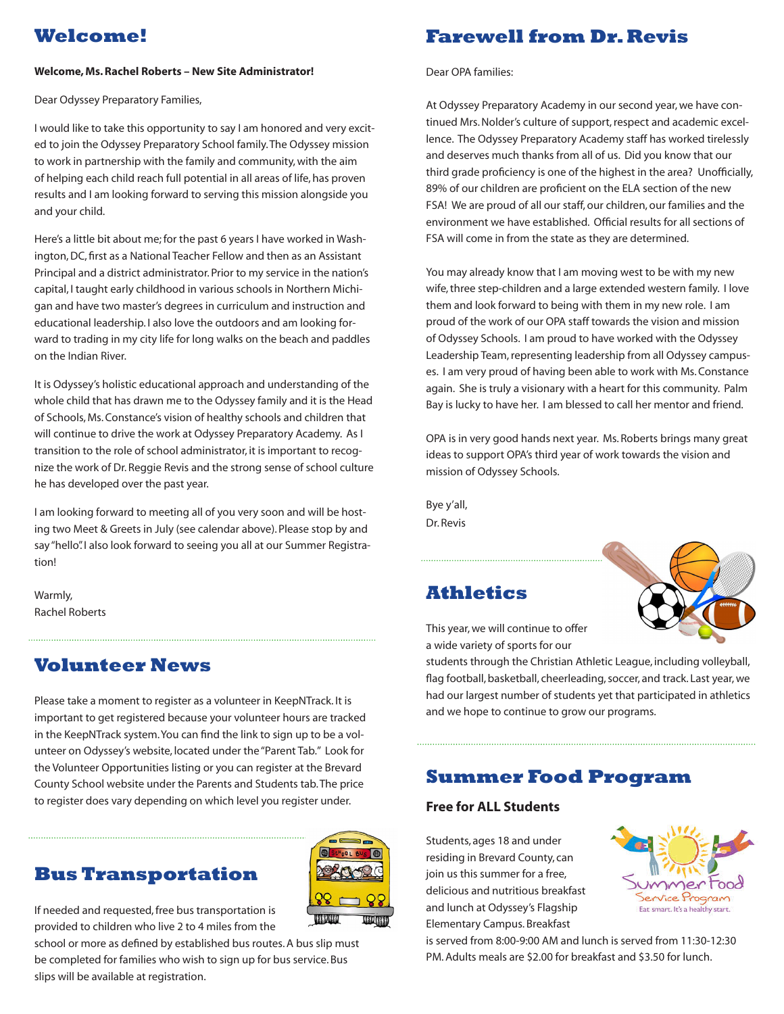### **Welcome!**

#### **Welcome, Ms. Rachel Roberts – New Site Administrator!**

Dear Odyssey Preparatory Families,

I would like to take this opportunity to say I am honored and very excited to join the Odyssey Preparatory School family. The Odyssey mission to work in partnership with the family and community, with the aim of helping each child reach full potential in all areas of life, has proven results and I am looking forward to serving this mission alongside you and your child.

Here's a little bit about me; for the past 6 years I have worked in Washington, DC, first as a National Teacher Fellow and then as an Assistant Principal and a district administrator. Prior to my service in the nation's capital, I taught early childhood in various schools in Northern Michigan and have two master's degrees in curriculum and instruction and educational leadership. I also love the outdoors and am looking forward to trading in my city life for long walks on the beach and paddles on the Indian River.

It is Odyssey's holistic educational approach and understanding of the whole child that has drawn me to the Odyssey family and it is the Head of Schools, Ms. Constance's vision of healthy schools and children that will continue to drive the work at Odyssey Preparatory Academy. As I transition to the role of school administrator, it is important to recognize the work of Dr. Reggie Revis and the strong sense of school culture he has developed over the past year.

I am looking forward to meeting all of you very soon and will be hosting two Meet & Greets in July (see calendar above). Please stop by and say "hello". I also look forward to seeing you all at our Summer Registration!

Warmly, Rachel Roberts

### **Volunteer News**

Please take a moment to register as a volunteer in KeepNTrack. It is important to get registered because your volunteer hours are tracked in the KeepNTrack system. You can find the link to sign up to be a volunteer on Odyssey's website, located under the "Parent Tab." Look for the Volunteer Opportunities listing or you can register at the Brevard County School website under the Parents and Students tab. The price to register does vary depending on which level you register under.



**TATION** 

If needed and requested, free bus transportation is provided to children who live 2 to 4 miles from the

school or more as defined by established bus routes. A bus slip must be completed for families who wish to sign up for bus service. Bus slips will be available at registration.

### **Farewell from Dr. Revis**

Dear OPA families:

At Odyssey Preparatory Academy in our second year, we have continued Mrs. Nolder's culture of support, respect and academic excellence. The Odyssey Preparatory Academy staff has worked tirelessly and deserves much thanks from all of us. Did you know that our third grade proficiency is one of the highest in the area? Unofficially, 89% of our children are proficient on the ELA section of the new FSA! We are proud of all our staff, our children, our families and the environment we have established. Official results for all sections of FSA will come in from the state as they are determined.

You may already know that I am moving west to be with my new wife, three step-children and a large extended western family. I love them and look forward to being with them in my new role. I am proud of the work of our OPA staff towards the vision and mission of Odyssey Schools. I am proud to have worked with the Odyssey Leadership Team, representing leadership from all Odyssey campuses. I am very proud of having been able to work with Ms. Constance again. She is truly a visionary with a heart for this community. Palm Bay is lucky to have her. I am blessed to call her mentor and friend.

OPA is in very good hands next year. Ms. Roberts brings many great ideas to support OPA's third year of work towards the vision and mission of Odyssey Schools.

Bye y'all, Dr. Revis

### **Athletics**



This year, we will continue to offer a wide variety of sports for our

students through the Christian Athletic League, including volleyball, flag football, basketball, cheerleading, soccer, and track. Last year, we had our largest number of students yet that participated in athletics and we hope to continue to grow our programs.

### **Summer Food Program**

#### **Free for ALL Students**

Students, ages 18 and under residing in Brevard County, can join us this summer for a free, delicious and nutritious breakfast and lunch at Odyssey's Flagship Elementary Campus. Breakfast



is served from 8:00-9:00 AM and lunch is served from 11:30-12:30 PM. Adults meals are \$2.00 for breakfast and \$3.50 for lunch.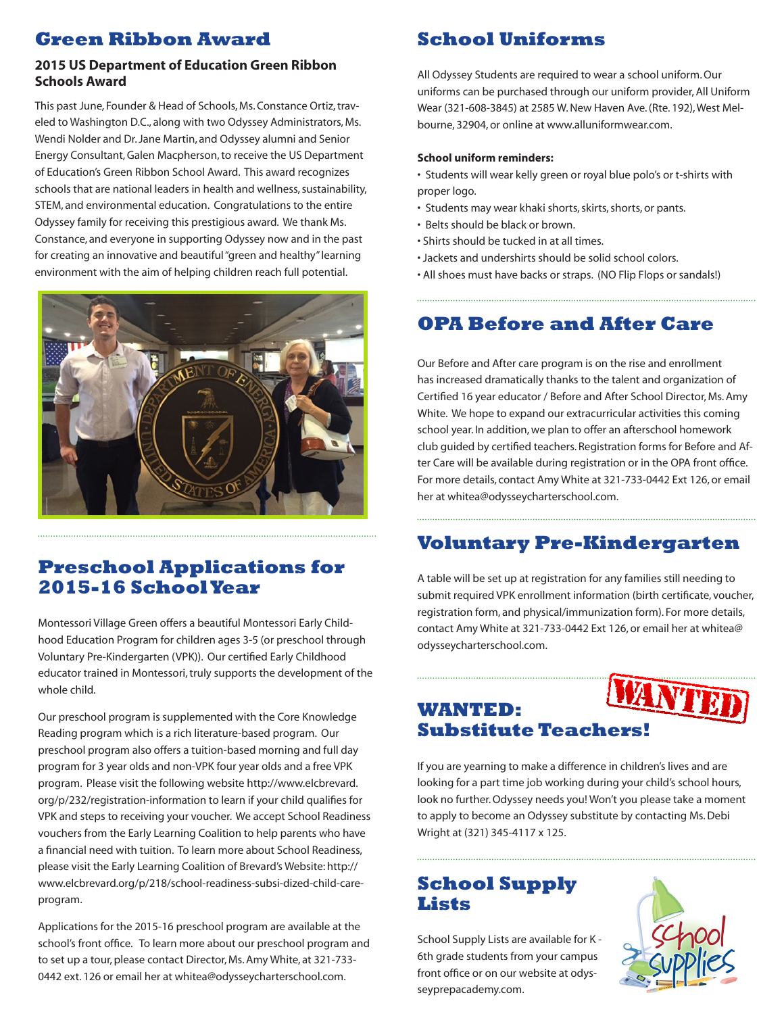### **Green Ribbon Award**

#### **2015 US Department of Education Green Ribbon Schools Award**

This past June, Founder & Head of Schools, Ms. Constance Ortiz, traveled to Washington D.C., along with two Odyssey Administrators, Ms. Wendi Nolder and Dr. Jane Martin, and Odyssey alumni and Senior Energy Consultant, Galen Macpherson, to receive the US Department of Education's Green Ribbon School Award. This award recognizes schools that are national leaders in health and wellness, sustainability, STEM, and environmental education. Congratulations to the entire Odyssey family for receiving this prestigious award. We thank Ms. Constance, and everyone in supporting Odyssey now and in the past for creating an innovative and beautiful "green and healthy" learning environment with the aim of helping children reach full potential.



### **Preschool Applications for 2015-16 School Year**

Montessori Village Green offers a beautiful Montessori Early Childhood Education Program for children ages 3-5 (or preschool through Voluntary Pre-Kindergarten (VPK)). Our certified Early Childhood educator trained in Montessori, truly supports the development of the whole child.

Our preschool program is supplemented with the Core Knowledge Reading program which is a rich literature-based program. Our preschool program also offers a tuition-based morning and full day program for 3 year olds and non-VPK four year olds and a free VPK program. Please visit the following website http://www.elcbrevard. org/p/232/registration-information to learn if your child qualifies for VPK and steps to receiving your voucher. We accept School Readiness vouchers from the Early Learning Coalition to help parents who have a financial need with tuition. To learn more about School Readiness, please visit the Early Learning Coalition of Brevard's Website: http:// www.elcbrevard.org/p/218/school-readiness-subsi-dized-child-careprogram.

Applications for the 2015-16 preschool program are available at the school's front office. To learn more about our preschool program and to set up a tour, please contact Director, Ms. Amy White, at 321-733- 0442 ext. 126 or email her at whitea@odysseycharterschool.com.

# **School Uniforms**

All Odyssey Students are required to wear a school uniform. Our uniforms can be purchased through our uniform provider, All Uniform Wear (321-608-3845) at 2585 W. New Haven Ave. (Rte. 192), West Melbourne, 32904, or online at www.alluniformwear.com.

#### **School uniform reminders:**

- Students will wear kelly green or royal blue polo's or t-shirts with proper logo.
- Students may wear khaki shorts, skirts, shorts, or pants.
- Belts should be black or brown.
- Shirts should be tucked in at all times.
- Jackets and undershirts should be solid school colors.
- All shoes must have backs or straps. (NO Flip Flops or sandals!)

## **OPA Before and After Care**

Our Before and After care program is on the rise and enrollment has increased dramatically thanks to the talent and organization of Certified 16 year educator / Before and After School Director, Ms. Amy White. We hope to expand our extracurricular activities this coming school year. In addition, we plan to offer an afterschool homework club guided by certified teachers. Registration forms for Before and After Care will be available during registration or in the OPA front office. For more details, contact Amy White at 321-733-0442 Ext 126, or email her at whitea@odysseycharterschool.com.

# **Voluntary Pre-Kindergarten**

A table will be set up at registration for any families still needing to submit required VPK enrollment information (birth certificate, voucher, registration form, and physical/immunization form). For more details, contact Amy White at 321-733-0442 Ext 126, or email her at whitea@ odysseycharterschool.com.

# **WANTED: Substitute Teachers!**

If you are yearning to make a difference in children's lives and are looking for a part time job working during your child's school hours, look no further. Odyssey needs you! Won't you please take a moment to apply to become an Odyssey substitute by contacting Ms. Debi Wright at (321) 345-4117 x 125.

### **School Supply Lists**

School Supply Lists are available for K - 6th grade students from your campus front office or on our website at odysseyprepacademy.com.



**YTET**